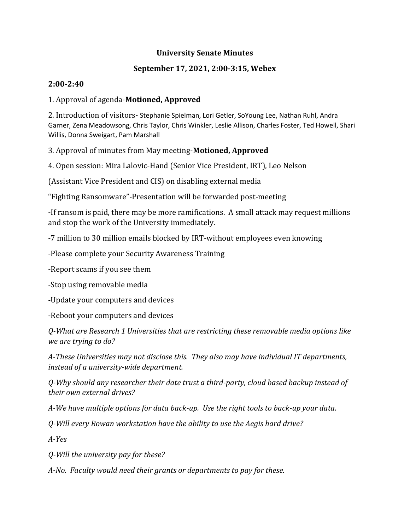#### **University Senate Minutes**

### **September 17, 2021, 2:00-3:15, Webex**

#### **2:00-2:40**

### 1. Approval of agenda-**Motioned, Approved**

2. Introduction of visitors- Stephanie Spielman, Lori Getler, SoYoung Lee, Nathan Ruhl, Andra Garner, Zena Meadowsong, Chris Taylor, Chris Winkler, Leslie Allison, Charles Foster, Ted Howell, Shari Willis, Donna Sweigart, Pam Marshall

### 3. Approval of minutes from May meeting-**Motioned, Approved**

4. Open session: Mira Lalovic-Hand (Senior Vice President, IRT), Leo Nelson

(Assistant Vice President and CIS) on disabling external media

"Fighting Ransomware"-Presentation will be forwarded post-meeting

-If ransom is paid, there may be more ramifications. A small attack may request millions and stop the work of the University immediately.

-7 million to 30 million emails blocked by IRT-without employees even knowing

-Please complete your Security Awareness Training

-Report scams if you see them

-Stop using removable media

-Update your computers and devices

-Reboot your computers and devices

*Q-What are Research 1 Universities that are restricting these removable media options like we are trying to do?*

*A-These Universities may not disclose this. They also may have individual IT departments, instead of a university-wide department.*

*Q-Why should any researcher their date trust a third-party, cloud based backup instead of their own external drives?*

*A-We have multiple options for data back-up. Use the right tools to back-up your data.*

*Q-Will every Rowan workstation have the ability to use the Aegis hard drive?*

*A-Yes*

*Q-Will the university pay for these?*

*A-No. Faculty would need their grants or departments to pay for these.*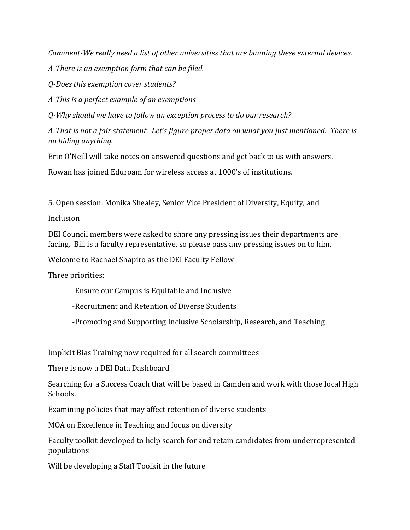*Comment-We really need a list of other universities that are banning these external devices.*

*A-There is an exemption form that can be filed.* 

*Q-Does this exemption cover students?*

*A-This is a perfect example of an exemptions*

*Q-Why should we have to follow an exception process to do our research?*

*A-That is not a fair statement. Let's figure proper data on what you just mentioned. There is no hiding anything.* 

Erin O'Neill will take notes on answered questions and get back to us with answers.

Rowan has joined Eduroam for wireless access at 1000's of institutions.

5. Open session: Monika Shealey, Senior Vice President of Diversity, Equity, and

Inclusion

DEI Council members were asked to share any pressing issues their departments are facing. Bill is a faculty representative, so please pass any pressing issues on to him.

Welcome to Rachael Shapiro as the DEI Faculty Fellow

Three priorities:

-Ensure our Campus is Equitable and Inclusive

-Recruitment and Retention of Diverse Students

-Promoting and Supporting Inclusive Scholarship, Research, and Teaching

Implicit Bias Training now required for all search committees

There is now a DEI Data Dashboard

Searching for a Success Coach that will be based in Camden and work with those local High Schools.

Examining policies that may affect retention of diverse students

MOA on Excellence in Teaching and focus on diversity

Faculty toolkit developed to help search for and retain candidates from underrepresented populations

Will be developing a Staff Toolkit in the future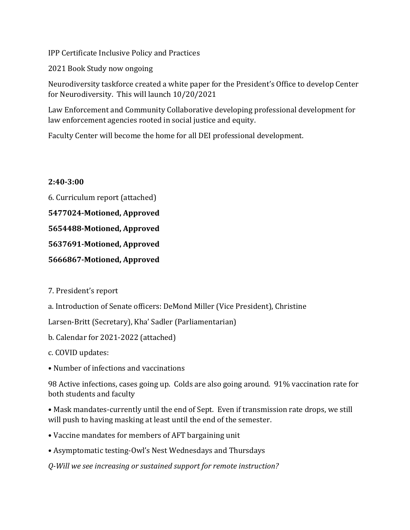IPP Certificate Inclusive Policy and Practices

2021 Book Study now ongoing

Neurodiversity taskforce created a white paper for the President's Office to develop Center for Neurodiversity. This will launch 10/20/2021

Law Enforcement and Community Collaborative developing professional development for law enforcement agencies rooted in social justice and equity.

Faculty Center will become the home for all DEI professional development.

### **2:40-3:00**

6. Curriculum report (attached)

**5477024-Motioned, Approved**

**5654488-Motioned, Approved** 

**5637691-Motioned, Approved**

**5666867-Motioned, Approved** 

7. President's report

a. Introduction of Senate officers: DeMond Miller (Vice President), Christine

Larsen-Britt (Secretary), Kha' Sadler (Parliamentarian)

b. Calendar for 2021-2022 (attached)

c. COVID updates:

• Number of infections and vaccinations

98 Active infections, cases going up. Colds are also going around. 91% vaccination rate for both students and faculty

• Mask mandates-currently until the end of Sept. Even if transmission rate drops, we still will push to having masking at least until the end of the semester.

• Vaccine mandates for members of AFT bargaining unit

• Asymptomatic testing-Owl's Nest Wednesdays and Thursdays

*Q-Will we see increasing or sustained support for remote instruction?*